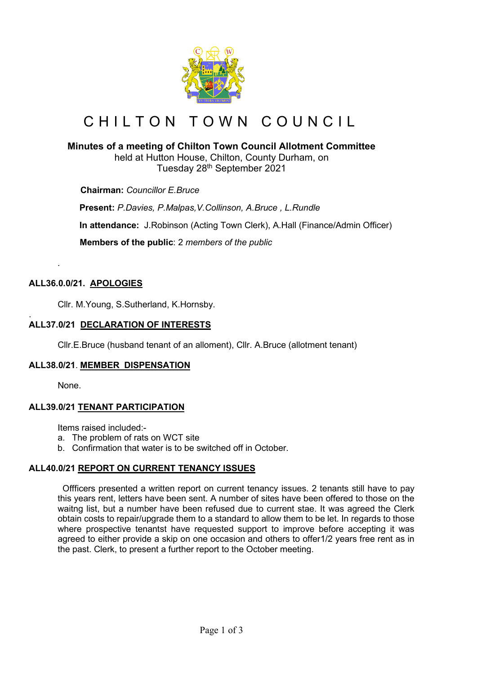

# CHILTON TOWN COUNCIL

# **Minutes of a meeting of Chilton Town Council Allotment Committee**

held at Hutton House, Chilton, County Durham, on Tuesday 28th September 2021

 **Chairman:** *Councillor E.Bruce*

**Present:** *P.Davies, P.Malpas,V.Collinson, A.Bruce , L.Rundle*

**In attendance:** J.Robinson (Acting Town Clerk), A.Hall (Finance/Admin Officer)

 **Members of the public**: 2 *members of the public*

## **ALL36.0.0/21. APOLOGIES**

*.*

Cllr. M.Young, S.Sutherland, K.Hornsby.

#### . **ALL37.0/21 DECLARATION OF INTERESTS**

Cllr.E.Bruce (husband tenant of an alloment), Cllr. A.Bruce (allotment tenant)

## **ALL38.0/21**. **MEMBER DISPENSATION**

None.

## **ALL39.0/21 TENANT PARTICIPATION**

Items raised included:-

- a. The problem of rats on WCT site
- b. Confirmation that water is to be switched off in October.

## **ALL40.0/21 REPORT ON CURRENT TENANCY ISSUES**

 Offficers presented a written report on current tenancy issues. 2 tenants still have to pay this years rent, letters have been sent. A number of sites have been offered to those on the waitng list, but a number have been refused due to current stae. It was agreed the Clerk obtain costs to repair/upgrade them to a standard to allow them to be let. In regards to those where prospective tenantst have requested support to improve before accepting it was agreed to either provide a skip on one occasion and others to offer1/2 years free rent as in the past. Clerk, to present a further report to the October meeting.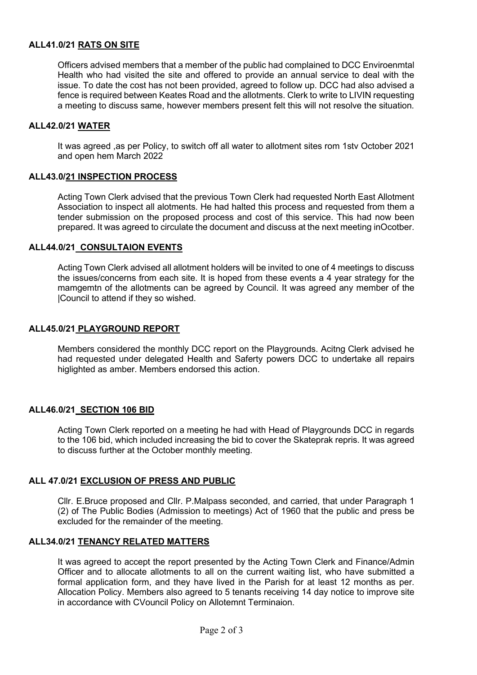## **ALL41.0/21 RATS ON SITE**

Officers advised members that a member of the public had complained to DCC Enviroenmtal Health who had visited the site and offered to provide an annual service to deal with the issue. To date the cost has not been provided, agreed to follow up. DCC had also advised a fence is required between Keates Road and the allotments. Clerk to write to LIVIN requesting a meeting to discuss same, however members present felt this will not resolve the situation.

#### **ALL42.0/21 WATER**

It was agreed ,as per Policy, to switch off all water to allotment sites rom 1stv October 2021 and open hem March 2022

#### **ALL43.0/21 INSPECTION PROCESS**

Acting Town Clerk advised that the previous Town Clerk had requested North East Allotment Association to inspect all alotments. He had halted this process and requested from them a tender submission on the proposed process and cost of this service. This had now been prepared. It was agreed to circulate the document and discuss at the next meeting inOcotber.

#### **ALL44.0/21 CONSULTAION EVENTS**

Acting Town Clerk advised all allotment holders will be invited to one of 4 meetings to discuss the issues/concerns from each site. It is hoped from these events a 4 year strategy for the mamgemtn of the allotments can be agreed by Council. It was agreed any member of the |Council to attend if they so wished.

#### **ALL45.0/21 PLAYGROUND REPORT**

Members considered the monthly DCC report on the Playgrounds. Acitng Clerk advised he had requested under delegated Health and Saferty powers DCC to undertake all repairs higlighted as amber. Members endorsed this action.

#### **ALL46.0/21 SECTION 106 BID**

Acting Town Clerk reported on a meeting he had with Head of Playgrounds DCC in regards to the 106 bid, which included increasing the bid to cover the Skateprak repris. It was agreed to discuss further at the October monthly meeting.

## **ALL 47.0/21 EXCLUSION OF PRESS AND PUBLIC**

Cllr. E.Bruce proposed and Cllr. P.Malpass seconded, and carried, that under Paragraph 1 (2) of The Public Bodies (Admission to meetings) Act of 1960 that the public and press be excluded for the remainder of the meeting.

#### **ALL34.0/21 TENANCY RELATED MATTERS**

It was agreed to accept the report presented by the Acting Town Clerk and Finance/Admin Officer and to allocate allotments to all on the current waiting list, who have submitted a formal application form, and they have lived in the Parish for at least 12 months as per. Allocation Policy. Members also agreed to 5 tenants receiving 14 day notice to improve site in accordance with CVouncil Policy on Allotemnt Terminaion.